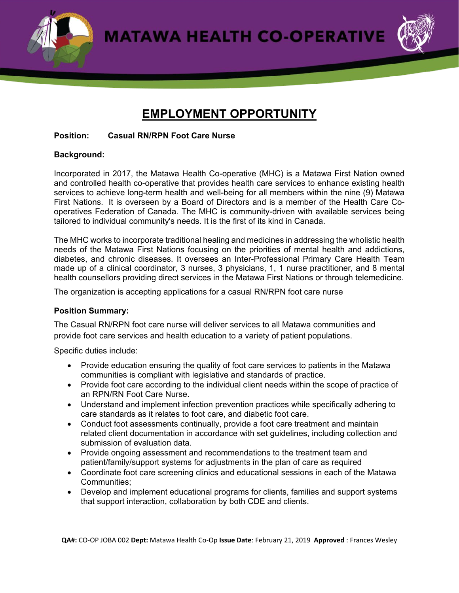**MATAWA HEALTH CO-OPERATIVE** 



# **EMPLOYMENT OPPORTUNITY**

#### **Position: Casual RN/RPN Foot Care Nurse**

### **Background:**

Incorporated in 2017, the Matawa Health Co-operative (MHC) is a Matawa First Nation owned and controlled health co-operative that provides health care services to enhance existing health services to achieve long-term health and well-being for all members within the nine (9) Matawa First Nations. It is overseen by a Board of Directors and is a member of the Health Care Cooperatives Federation of Canada. The MHC is community-driven with available services being tailored to individual community's needs. It is the first of its kind in Canada.

The MHC works to incorporate traditional healing and medicines in addressing the wholistic health needs of the Matawa First Nations focusing on the priorities of mental health and addictions, diabetes, and chronic diseases. It oversees an Inter-Professional Primary Care Health Team made up of a clinical coordinator, 3 nurses, 3 physicians, 1, 1 nurse practitioner, and 8 mental health counsellors providing direct services in the Matawa First Nations or through telemedicine.

The organization is accepting applications for a casual RN/RPN foot care nurse

## **Position Summary:**

The Casual RN/RPN foot care nurse will deliver services to all Matawa communities and provide foot care services and health education to a variety of patient populations.

Specific duties include:

- Provide education ensuring the quality of foot care services to patients in the Matawa communities is compliant with legislative and standards of practice.
- Provide foot care according to the individual client needs within the scope of practice of an RPN/RN Foot Care Nurse.
- Understand and implement infection prevention practices while specifically adhering to care standards as it relates to foot care, and diabetic foot care.
- Conduct foot assessments continually, provide a foot care treatment and maintain related client documentation in accordance with set guidelines, including collection and submission of evaluation data.
- Provide ongoing assessment and recommendations to the treatment team and patient/family/support systems for adjustments in the plan of care as required
- Coordinate foot care screening clinics and educational sessions in each of the Matawa Communities;
- Develop and implement educational programs for clients, families and support systems that support interaction, collaboration by both CDE and clients.